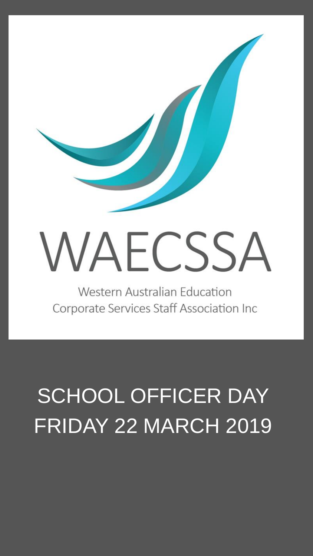

Corporate Services Staff Association Inc

## SCHOOL OFFICER DAY FRIDAY 22 MARCH 2019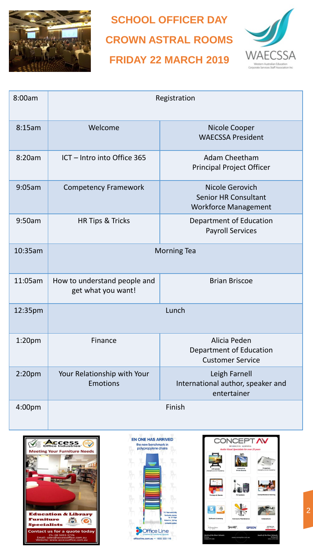

**SCHOOL OFFICER DAY CROWN ASTRAL ROOMS FRIDAY 22 MARCH 2019** 



| 8:00am             | Registration                                       |                                                                               |
|--------------------|----------------------------------------------------|-------------------------------------------------------------------------------|
| 8:15am             | Welcome                                            | Nicole Cooper<br><b>WAECSSA President</b>                                     |
| 8:20am             | ICT - Intro into Office 365                        | <b>Adam Cheetham</b><br><b>Principal Project Officer</b>                      |
| 9:05am             | <b>Competency Framework</b>                        | Nicole Gerovich<br><b>Senior HR Consultant</b><br><b>Workforce Management</b> |
| 9:50am             | HR Tips & Tricks                                   | Department of Education<br><b>Payroll Services</b>                            |
| 10:35am            | <b>Morning Tea</b>                                 |                                                                               |
| 11:05am            | How to understand people and<br>get what you want! | <b>Brian Briscoe</b>                                                          |
| 12:35pm            | Lunch                                              |                                                                               |
| 1:20 <sub>pm</sub> | Finance                                            | Alicia Peden<br><b>Department of Education</b><br><b>Customer Service</b>     |
| 2:20 <sub>pm</sub> | Your Relationship with Your<br><b>Emotions</b>     | Leigh Farnell<br>International author, speaker and<br>entertainer             |
| 4:00pm             | Finish                                             |                                                                               |







2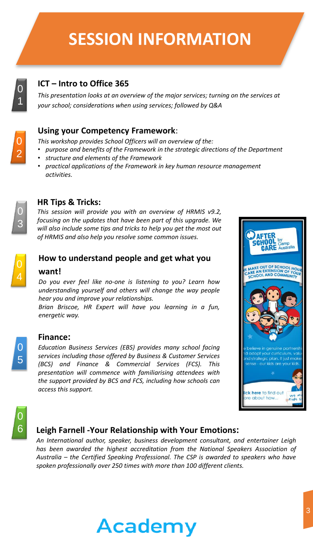### **SESSION INFORMATION**



#### **ICT – Intro to Office 365**

*This presentation looks at an overview of the major services; turning on the services at your school; considerations when using services; followed by Q&A*



#### **Using your Competency Framework**:

*This workshop provides School Officers will an overview of the:*

- *purpose and benefits of the Framework in the strategic directions of the Department*
- *structure and elements of the Framework*
- *practical applications of the Framework in key human resource management activities.*



#### **HR Tips & Tricks:**

*This session will provide you with an overview of HRMIS v9.2, focusing on the updates that have been part of this upgrade. We will also include some tips and tricks to help you get the most out of HRMIS and also help you resolve some common issues.*



0 5

0

#### **How to understand people and get what you**

#### **want!**

*Do you ever feel like no-one is listening to you? Learn how understanding yourself and others will change the way people hear you and improve your relationships.*

*Brian Briscoe, HR Expert will have you learning in a fun, energetic way.*

#### **Finance:**

*Education Business Services (EBS) provides many school facing services including those offered by Business & Customer Services (BCS) and Finance & Commercial Services (FCS). This presentation will commence with familiarising attendees with the support provided by BCS and FCS, including how schools can access this support.*



#### 6 **Leigh Farnell -Your Relationship with Your Emotions:**

*An International author, speaker, business development consultant, and entertainer Leigh has been awarded the highest accreditation from the National Speakers Association of Australia – the Certified Speaking Professional. The CSP is awarded to speakers who have spoken professionally over 250 times with more than 100 different clients.*